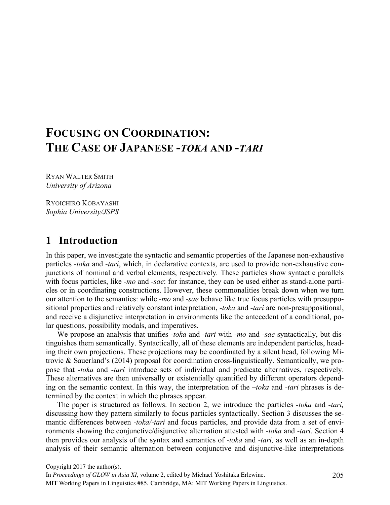# **FOCUSING ON COORDINATION: THE CASE OF JAPANESE -***TOKA* **AND -***TARI*

RYAN WALTER SMITH *University of Arizona*

RYOICHIRO KOBAYASHI *Sophia University/JSPS*

### **1** Introduction

In this paper, we investigate the syntactic and semantic properties of the Japanese non-exhaustive particles *-toka* and *-tari*, which, in declarative contexts, are used to provide non-exhaustive conjunctions of nominal and verbal elements, respectively*.* These particles show syntactic parallels with focus particles, like *-mo* and *-sae*: for instance, they can be used either as stand-alone particles or in coordinating constructions. However, these commonalities break down when we turn our attention to the semantics: while *-mo* and *-sae* behave like true focus particles with presuppositional properties and relatively constant interpretation, *-toka* and *-tari* are non-presuppositional, and receive a disjunctive interpretation in environments like the antecedent of a conditional, polar questions, possibility modals, and imperatives.

We propose an analysis that unifies *-toka* and *-tari* with *-mo* and *-sae* syntactically, but distinguishes them semantically. Syntactically, all of these elements are independent particles, heading their own projections. These projections may be coordinated by a silent head, following Mitrovic & Sauerland's (2014) proposal for coordination cross-linguistically. Semantically, we propose that *-toka* and *-tari* introduce sets of individual and predicate alternatives, respectively. These alternatives are then universally or existentially quantified by different operators depending on the semantic context. In this way, the interpretation of the *–toka* and *-tari* phrases is determined by the context in which the phrases appear.

The paper is structured as follows. In section 2, we introduce the particles *-toka* and *-tari,*  discussing how they pattern similarly to focus particles syntactically. Section 3 discusses the semantic differences between *-toka/-tari* and focus particles, and provide data from a set of environments showing the conjunctive/disjunctive alternation attested with *-toka* and *-tari*. Section 4 then provides our analysis of the syntax and semantics of *-toka* and *-tari,* as well as an in-depth analysis of their semantic alternation between conjunctive and disjunctive-like interpretations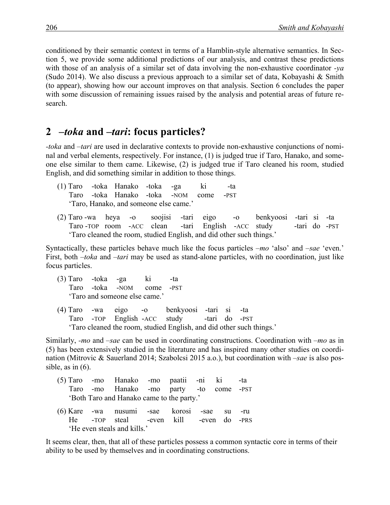conditioned by their semantic context in terms of a Hamblin-style alternative semantics. In Section 5, we provide some additional predictions of our analysis, and contrast these predictions with those of an analysis of a similar set of data involving the non-exhaustive coordinator *-ya* (Sudo 2014). We also discuss a previous approach to a similar set of data, Kobayashi & Smith (to appear), showing how our account improves on that analysis. Section 6 concludes the paper with some discussion of remaining issues raised by the analysis and potential areas of future research.

### **2**xx*–toka* **and** *–tari***: focus particles?**

*-toka* and *–tari* are used in declarative contexts to provide non-exhaustive conjunctions of nominal and verbal elements, respectively. For instance, (1) is judged true if Taro, Hanako, and someone else similar to them came. Likewise, (2) is judged true if Taro cleaned his room, studied English, and did something similar in addition to those things.

|  | (1) Taro -toka Hanako -toka -ga ki     |  | -ta |
|--|----------------------------------------|--|-----|
|  | Taro -toka Hanako -toka -NOM come -PST |  |     |
|  | 'Taro, Hanako, and someone else came.' |  |     |

(2) Taro -wa heya -o soojisi -tari eigo -o benkyoosi -tari si -ta Taro -TOP room -ACC clean -tari English -ACC study -tari do -PST 'Taro cleaned the room, studied English, and did other such things.'

Syntactically, these particles behave much like the focus particles *–mo* 'also' and *–sae* 'even.' First, both *–toka* and *–tari* may be used as stand-alone particles, with no coordination, just like focus particles.

- (3) Taro -toka -ga ki -ta Taro -toka -NOM come -PST 'Taro and someone else came.'
- (4) Taro -wa eigo -o benkyoosi -tari si -ta Taro -TOP English -ACC study -tari do -PST 'Taro cleaned the room, studied English, and did other such things.'

Similarly, *-mo* and *–sae* can be used in coordinating constructions. Coordination with *–mo* as in (5) has been extensively studied in the literature and has inspired many other studies on coordination (Mitrovic & Sauerland 2014; Szabolcsi 2015 a.o.), but coordination with *–sae* is also possible, as in (6).

|  | (5) Taro -mo Hanako -mo paatii -ni ki -ta   |  |  |  |
|--|---------------------------------------------|--|--|--|
|  | Taro -mo Hanako -mo party -to come -PST     |  |  |  |
|  | 'Both Taro and Hanako came to the party.'   |  |  |  |
|  | (6) Kare -wa nusumi -sae korosi -sae su -ru |  |  |  |
|  | He -TOP steal -even kill -even do -PRS      |  |  |  |
|  | 'He even steals and kills.'                 |  |  |  |

It seems clear, then, that all of these particles possess a common syntactic core in terms of their ability to be used by themselves and in coordinating constructions.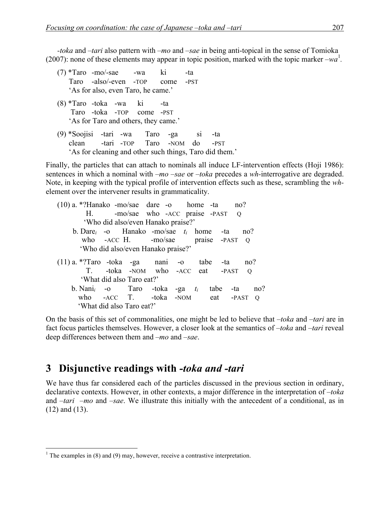*-toka* and *–tari* also pattern with *–mo* and *–sae* in being anti-topical in the sense of Tomioka (2007): none of these elements may appear in topic position, marked with the topic marker  $-wa^1$ .

- $(7)$  \*Taro -mo/-sae -wa ki -ta Taro -also/-even -TOP come -PST 'As for also, even Taro, he came.'
- (8) \*Taro -toka -wa ki -ta Taro -toka -TOP come -PST 'As for Taro and others, they came.'
- (9) \*Soojisi -tari -wa Taro -ga si -ta clean -tari -TOP Taro -NOM do -PST 'As for cleaning and other such things, Taro did them.'

Finally, the particles that can attach to nominals all induce LF-intervention effects (Hoji 1986): sentences in which a nominal with *–mo –sae* or *–toka* precedes a *wh-*interrogative are degraded. Note, in keeping with the typical profile of intervention effects such as these, scrambling the *wh*element over the intervener results in grammaticality.

| $(10)$ a. *?Hanako -mo/sae dare -o home -ta no? |                                    |  |                                                       |  |              |     |  |
|-------------------------------------------------|------------------------------------|--|-------------------------------------------------------|--|--------------|-----|--|
|                                                 |                                    |  | H. - mo/sae who - ACC praise - PAST Q                 |  |              |     |  |
| 'Who did also/even Hanako praise?'              |                                    |  |                                                       |  |              |     |  |
|                                                 |                                    |  | b. Dare <sub>i</sub> -o Hanako -mo/sae $t_i$ home -ta |  |              | no? |  |
|                                                 |                                    |  | who $-ACC$ H. $-mo/sae$ praise $-PAST$ Q              |  |              |     |  |
|                                                 | 'Who did also/even Hanako praise?' |  |                                                       |  |              |     |  |
| $(11)$ a. *?Taro -toka -ga nani -o tabe -ta     |                                    |  |                                                       |  |              | no? |  |
|                                                 |                                    |  | T. -toka -NOM who -ACC eat -PAST Q                    |  |              |     |  |
|                                                 | 'What did also Taro eat?'          |  |                                                       |  |              |     |  |
| b. Nani <sub>i</sub> -o Taro -toka -ga $t_i$    |                                    |  |                                                       |  | tabe -ta no? |     |  |
|                                                 |                                    |  | who -ACC T. -toka -NOM eat -PAST Q                    |  |              |     |  |
| 'What did also Taro eat?'                       |                                    |  |                                                       |  |              |     |  |

On the basis of this set of commonalities, one might be led to believe that *–toka* and *–tari* are in fact focus particles themselves. However, a closer look at the semantics of *–toka* and *–tari* reveal deep differences between them and *–mo* and *–sae*.

### **3**xx**Disjunctive readings with** *-toka and -tari*

We have thus far considered each of the particles discussed in the previous section in ordinary, declarative contexts. However, in other contexts, a major difference in the interpretation of *–toka*  and *–tari –mo* and *–sae*. We illustrate this initially with the antecedent of a conditional, as in (12) and (13).

 $1$  The examples in (8) and (9) may, however, receive a contrastive interpretation.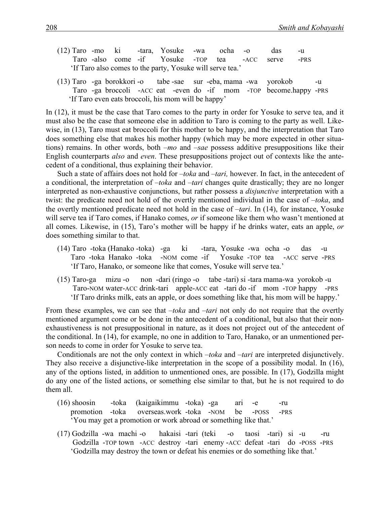- (12) Taro -mo ki -tara, Yosuke -wa ocha -o das -u Taro -also come -if Yosuke -TOP tea -ACC serve -PRS 'If Taro also comes to the party, Yosuke will serve tea.'
- (13) Taro -ga borokkori -o tabe -sae sur -eba, mama -wa yorokob -u Taro -ga broccoli -ACC eat -even do -if mom -TOP become.happy -PRS 'If Taro even eats broccoli, his mom will be happy'

In (12), it must be the case that Taro comes to the party in order for Yosuke to serve tea, and it must also be the case that someone else in addition to Taro is coming to the party as well. Likewise, in (13), Taro must eat broccoli for this mother to be happy, and the interpretation that Taro does something else that makes his mother happy (which may be more expected in other situations) remains. In other words, both *–mo* and *–sae* possess additive presuppositions like their English counterparts *also* and *even*. These presuppositions project out of contexts like the antecedent of a conditional, thus explaining their behavior.

Such a state of affairs does not hold for *–toka* and *–tari,* however. In fact, in the antecedent of a conditional, the interpretation of *–toka* and *–tari* changes quite drastically; they are no longer interpreted as non-exhaustive conjunctions, but rather possess a *disjunctive* interpretation with a twist: the predicate need not hold of the overtly mentioned individual in the case of *–toka*, and the overtly mentioned predicate need not hold in the case of *–tari*. In (14), for instance, Yosuke will serve tea if Taro comes, if Hanako comes, *or* if someone like them who wasn't mentioned at all comes. Likewise, in (15), Taro's mother will be happy if he drinks water, eats an apple, *or*  does something similar to that.

- (14) Taro -toka (Hanako -toka) -ga ki -tara, Yosuke -wa ocha -o das -u Taro -toka Hanako -toka -NOM come -if Yosuke -TOP tea -ACC serve -PRS 'If Taro, Hanako, or someone like that comes, Yosuke will serve tea.'
- (15) Taro-ga mizu -o non -dari (ringo -o tabe -tari) si -tara mama-wa yorokob -u Taro-NOM water-ACC drink-tari apple-ACC eat -tari do -if mom -TOP happy -PRS 'If Taro drinks milk, eats an apple, or does something like that, his mom will be happy.'

From these examples, we can see that *–toka* and *–tari* not only do not require that the overtly mentioned argument come or be done in the antecedent of a conditional, but also that their nonexhaustiveness is not presuppositional in nature, as it does not project out of the antecedent of the conditional. In (14), for example, no one in addition to Taro, Hanako, or an unmentioned person needs to come in order for Yosuke to serve tea.

Conditionals are not the only context in which *–toka* and *–tari* are interpreted disjunctively. They also receive a disjunctive-like interpretation in the scope of a possibility modal. In (16), any of the options listed, in addition to unmentioned ones, are possible. In (17), Godzilla might do any one of the listed actions, or something else similar to that, but he is not required to do them all.

- (16) shoosin -toka (kaigaikimmu -toka) -ga ari -e -ru promotion -toka overseas.work -toka -NOM be -POSS -PRS 'You may get a promotion or work abroad or something like that.'
- (17) Godzilla -wa machi -o hakaisi -tari (teki -o taosi -tari) si -u -ru Godzilla -TOP town -ACC destroy -tari enemy -ACC defeat -tari do -POSS -PRS 'Godzilla may destroy the town or defeat his enemies or do something like that.'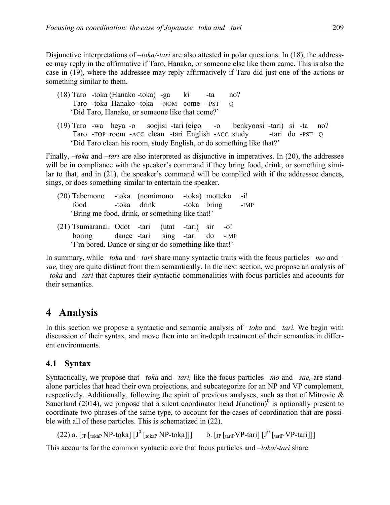Disjunctive interpretations of *–toka/-tari* are also attested in polar questions. In (18), the addressee may reply in the affirmative if Taro, Hanako, or someone else like them came. This is also the case in (19), where the addressee may reply affirmatively if Taro did just one of the actions or something similar to them.

- (18) Taro -toka (Hanako -toka) -ga ki -ta no? Taro -toka Hanako -toka -NOM come -PST Q 'Did Taro, Hanako, or someone like that come?'
- (19) Taro -wa heya -o soojisi -tari (eigo -o benkyoosi -tari) si -ta no? Taro -TOP room -ACC clean -tari English -ACC study -tari do -PST Q 'Did Taro clean his room, study English, or do something like that?'

Finally, *–toka* and *–tari* are also interpreted as disjunctive in imperatives. In (20), the addressee will be in compliance with the speaker's command if they bring food, drink, or something similar to that, and in (21), the speaker's command will be complied with if the addressee dances, sings, or does something similar to entertain the speaker.

| (20) Tabemono -toka (nomimono -toka) motteko -i! |                                                 |  |        |
|--------------------------------------------------|-------------------------------------------------|--|--------|
|                                                  | food -toka drink -toka bring                    |  | $-IMP$ |
|                                                  | 'Bring me food, drink, or something like that!' |  |        |

(21) Tsumaranai. Odot -tari (utat -tari) sir -o! boring dance -tari sing -tari do -IMP 'I'm bored. Dance or sing or do something like that!'

In summary, while *–toka* and *–tari* share many syntactic traits with the focus particles *–mo* and *– sae,* they are quite distinct from them semantically. In the next section, we propose an analysis of *–toka* and *–tari* that captures their syntactic commonalities with focus particles and accounts for their semantics.

## 4 Analysis

In this section we propose a syntactic and semantic analysis of *–toka* and *–tari.* We begin with discussion of their syntax, and move then into an in-depth treatment of their semantics in different environments.

### **4.1 Syntax**

Syntactically, we propose that *–toka* and *–tari,* like the focus particles *–mo* and *–sae,* are standalone particles that head their own projections, and subcategorize for an NP and VP complement, respectively. Additionally, following the spirit of previous analyses, such as that of Mitrovic & Sauerland (2014), we propose that a silent coordinator head  $J($ unction) $^0$  is optionally present to coordinate two phrases of the same type, to account for the cases of coordination that are possible with all of these particles. This is schematized in (22).

(22) a.  $\left[ \text{IP} \left[ \text{token} \text{NP-toka} \right] \left[ \text{J}^0 \left[ \text{total} \text{NP-toka} \right] \right] \right]$  b.  $\left[ \text{JP} \left[ \text{train} \text{VP-tari} \right] \left[ \text{J}^0 \left[ \text{train} \text{VP-tari} \right] \right] \right]$ 

This accounts for the common syntactic core that focus particles and *–toka/-tari* share.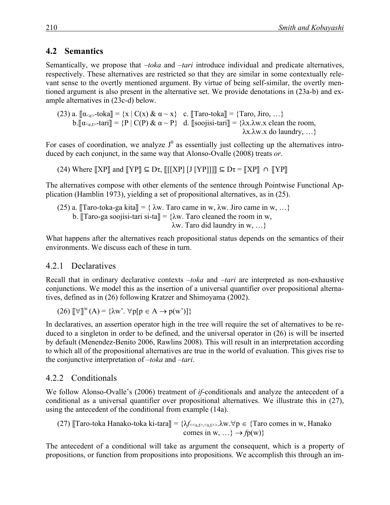#### **4.2 Semantics**

Semantically, we propose that *–toka* and *–tari* introduce individual and predicate alternatives, respectively. These alternatives are restricted so that they are similar in some contextually relevant sense to the overtly mentioned argument. By virtue of being self-similar, the overtly mentioned argument is also present in the alternative set. We provide denotations in (23a-b) and example alternatives in (23c-d) below.

(23) a. 
$$
[\![\alpha_{\leq e} - \text{toka}]\!] = \{x \mid C(x) \& \alpha \sim x\}
$$
 c.  $[\![\text{Taro-toka}]\!] = \{\text{Taro, Jiro, ...\}$   
b.  $[\![\alpha_{\leq e, t} - \text{tari}]\!] = \{P \mid C(P) \& \alpha \sim P\}$  d.  $[\![\text{soojisi-tari}]\!] = \{\lambda x. \lambda w.x \text{ clean the room, } \lambda x. \lambda w.x \text{ do laundry, ...\}$ 

For cases of coordination, we analyze  $J^0$  as essentially just collecting up the alternatives introduced by each conjunct, in the same way that Alonso-Ovalle (2008) treats *or*.

(24) Where  $[[XP]]$  and  $[[YP]] \subseteq D\tau$ ,  $[[[[XP][J [YP]]]] \subseteq D\tau = [[XP]] \cap [[YP]]$ 

The alternatives compose with other elements of the sentence through Pointwise Functional Application (Hamblin 1973), yielding a set of propositional alternatives, as in (25).

(25) a.  $\text{Trarc-toka-ga kita} = \{ \lambda w. \text{ Taro came in } w, \lambda w. \text{ Jiro came in } w, ... \}$ b.  $\text{Traro-ga so}$  soojisi-tari si-ta $\parallel$  = { $\lambda$ w. Taro cleaned the room in w, λw. Taro did laundry in w, …}

What happens after the alternatives reach propositional status depends on the semantics of their environments. We discuss each of these in turn.

#### 4.2.1 Declaratives

Recall that in ordinary declarative contexts *–toka* and *–tari* are interpreted as non-exhaustive conjunctions. We model this as the insertion of a universal quantifier over propositional alternatives, defined as in (26) following Kratzer and Shimoyama (2002).

 $(26)$   $[\![\forall]\!]^w(A) = {\lambda w'}$ .  $\forall p[p \in A \rightarrow p(w')]$ 

In declaratives, an assertion operator high in the tree will require the set of alternatives to be reduced to a singleton in order to be defined, and the universal operator in (26) is will be inserted by default (Menendez-Benito 2006, Rawlins 2008). This will result in an interpretation according to which all of the propositional alternatives are true in the world of evaluation. This gives rise to the conjunctive interpretation of *–toka* and *–tari*.

#### 4.2.2 Conditionals

We follow Alonso-Ovalle's (2006) treatment of *if*-conditionals and analyze the antecedent of a conditional as a universal quantifier over propositional alternatives. We illustrate this in (27), using the antecedent of the conditional from example (14a).

(27) 
$$
[\text{Taro-toka Hanako-toka ki-tara}] = \{ \mathcal{N}_{\leq s, t> \leq s, t> > \mathcal{N}} \times \forall p \in \{\text{Taro comes in } w, \text{ Hanako comes in } w, \ldots \} \rightarrow f p(w) \}
$$

The antecedent of a conditional will take as argument the consequent, which is a property of propositions, or function from propositions into propositions. We accomplish this through an im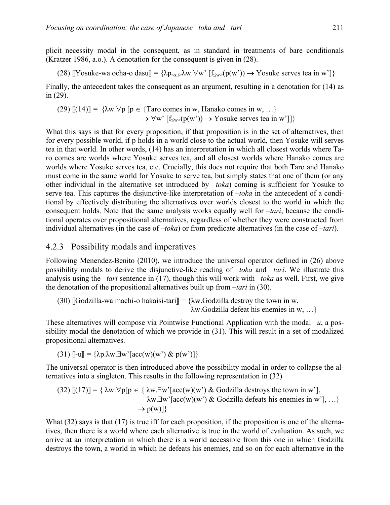plicit necessity modal in the consequent, as in standard in treatments of bare conditionals (Kratzer 1986, a.o.). A denotation for the consequent is given in (28).

(28) [Yosuke-wa ocha-o dasu] = { $\lambda p_{\leq s,t}$  $\lambda w. \forall w'$  [ $f_{\leq w}$  $(p(w')) \rightarrow$  Yosuke serves tea in w']}

Finally, the antecedent takes the consequent as an argument, resulting in a denotation for (14) as in (29).

(29)  $\mathbb{I}(14)\mathbb{I} = {\lambda w \forall p [p \in {\text{Trace in w, Hanako comes in w, ...}}$  $\rightarrow \forall w'$  [f<sub>≤w></sub>(p(w'))  $\rightarrow$  Yosuke serves tea in w']]}

What this says is that for every proposition, if that proposition is in the set of alternatives, then for every possible world, if p holds in a world close to the actual world, then Yosuke will serves tea in that world. In other words, (14) has an interpretation in which all closest worlds where Taro comes are worlds where Yosuke serves tea, and all closest worlds where Hanako comes are worlds where Yosuke serves tea, etc. Crucially, this does not require that both Taro and Hanako must come in the same world for Yosuke to serve tea, but simply states that one of them (or any other individual in the alternative set introduced by *–toka*) coming is sufficient for Yosuke to serve tea. This captures the disjunctive-like interpretation of *–toka* in the antecedent of a conditional by effectively distributing the alternatives over worlds closest to the world in which the consequent holds. Note that the same analysis works equally well for *–tari*, because the conditional operates over propositional alternatives, regardless of whether they were constructed from individual alternatives (in the case of *–toka*) or from predicate alternatives (in the case of *–tari*)*.*

#### 4.2.3 Possibility modals and imperatives

Following Menendez-Benito (2010), we introduce the universal operator defined in (26) above possibility modals to derive the disjunctive-like reading of *–toka* and *–tari*. We illustrate this analysis using the *–tari* sentence in (17), though this will work with *–toka* as well. First, we give the denotation of the propositional alternatives built up from *–tari* in (30).

(30) 
$$
[\text{Godzilla-wa machi-o hakaisi-tari}] = \{ \lambda w. \text{Godzilla destroy the town in w}, \lambda w. \text{Godzilla defeat his enemies in w}, \ldots \}
$$

These alternatives will compose via Pointwise Functional Application with the modal *–u*, a possibility modal the denotation of which we provide in (31). This will result in a set of modalized propositional alternatives.

(31)  $\llbracket -u \rrbracket = {\lambda p. \lambda w. \exists w' [\text{acc}(w)(w') \& p(w')] }$ 

The universal operator is then introduced above the possibility modal in order to collapse the alternatives into a singleton. This results in the following representation in (32)

(32) 
$$
[[(17)]] = \{ \lambda w. \forall p[p \in \{ \lambda w. \exists w' [acc(w)(w') \& \text{Godzilla destroys the town in } w' \}, \lambda w. \exists w' [acc(w)(w') \& \text{ Godzilla defeats his enemies in } w' \}, \ldots \}
$$
\n $\rightarrow p(w)]$ 

What (32) says is that (17) is true iff for each proposition, if the proposition is one of the alternatives, then there is a world where each alternative is true in the world of evaluation. As such, we arrive at an interpretation in which there is a world accessible from this one in which Godzilla destroys the town, a world in which he defeats his enemies, and so on for each alternative in the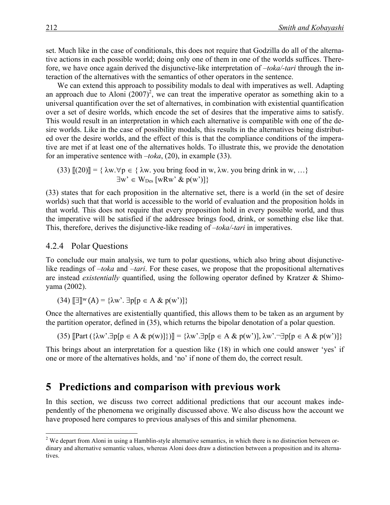set. Much like in the case of conditionals, this does not require that Godzilla do all of the alternative actions in each possible world; doing only one of them in one of the worlds suffices. Therefore, we have once again derived the disjunctive-like interpretation of *–toka/-tari* through the interaction of the alternatives with the semantics of other operators in the sentence.

We can extend this approach to possibility modals to deal with imperatives as well. Adapting an approach due to Aloni  $(2007)^2$ , we can treat the imperative operator as something akin to a universal quantification over the set of alternatives, in combination with existential quantification over a set of desire worlds, which encode the set of desires that the imperative aims to satisfy. This would result in an interpretation in which each alternative is compatible with one of the desire worlds. Like in the case of possibility modals, this results in the alternatives being distributed over the desire worlds, and the effect of this is that the compliance conditions of the imperative are met if at least one of the alternatives holds. To illustrate this, we provide the denotation for an imperative sentence with *–toka*, (20), in example (33).

```
(33) \llbracket (20) \rrbracket = \{ \lambda w. \forall p \in \{ \lambda w. \text{ you bring food in } w, \lambda w. \text{ you bring drink in } w, \ldots \}\exists w' \in W_{\text{Des}}[wRw' \& p(w')]
```
(33) states that for each proposition in the alternative set, there is a world (in the set of desire worlds) such that that world is accessible to the world of evaluation and the proposition holds in that world. This does not require that every proposition hold in every possible world, and thus the imperative will be satisfied if the addressee brings food, drink, or something else like that. This, therefore, derives the disjunctive-like reading of *–toka/-tari* in imperatives.

#### 4.2.4 Polar Questions

To conclude our main analysis, we turn to polar questions, which also bring about disjunctivelike readings of *–toka* and *–tari*. For these cases, we propose that the propositional alternatives are instead *existentially* quantified, using the following operator defined by Kratzer & Shimoyama (2002).

 $(34)$   $\exists \exists \mathbb{N}^w(A) = {\lambda w'}$ .  $\exists p[p \in A \& p(w')]$ 

Once the alternatives are existentially quantified, this allows them to be taken as an argument by the partition operator, defined in (35), which returns the bipolar denotation of a polar question.

(35)  $\left[Part(\{\lambda w'.\exists p[p \in A \& p(w)]\})\right] = \{\lambda w'.\exists p[p \in A \& p(w')], \lambda w'.\exists p[p \in A \& p(w')]\}\$ 

This brings about an interpretation for a question like (18) in which one could answer 'yes' if one or more of the alternatives holds, and 'no' if none of them do, the correct result.

#### **5** Predictions and comparison with previous work

In this section, we discuss two correct additional predictions that our account makes independently of the phenomena we originally discussed above. We also discuss how the account we have proposed here compares to previous analyses of this and similar phenomena.

<sup>&</sup>lt;sup>2</sup> We depart from Aloni in using a Hamblin-style alternative semantics, in which there is no distinction between ordinary and alternative semantic values, whereas Aloni does draw a distinction between a proposition and its alternatives.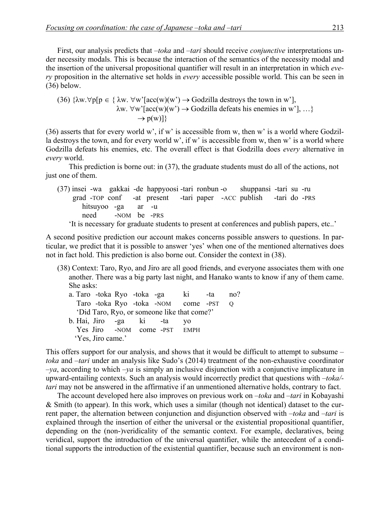First, our analysis predicts that *–toka* and *–tari* should receive *conjunctive* interpretations under necessity modals. This is because the interaction of the semantics of the necessity modal and the insertion of the universal propositional quantifier will result in an interpretation in which *every* proposition in the alternative set holds in *every* accessible possible world. This can be seen in (36) below.

(36) 
$$
\{\lambda w.\forall p[p \in \{\lambda w.\forall w'\} [acc(w)(w') \rightarrow Godzilla destroys the town in w'],\n \lambda w.\forall w'\{acc(w)(w') \rightarrow Godzilla defeats his enemies in w'], ...\} \rightarrow p(w)]\}
$$

(36) asserts that for every world w', if w' is accessible from w, then w' is a world where Godzilla destroys the town, and for every world w', if w' is accessible from w, then w' is a world where Godzilla defeats his enemies, etc. The overall effect is that Godzilla does *every* alternative in *every* world.

This prediction is borne out: in (37), the graduate students must do all of the actions, not just one of them.

(37) insei -wa gakkai -de happyoosi -tari ronbun -o shuppansi -tari su -ru grad -TOP conf -at present -tari paper -ACC publish -tari do -PRS hitsuyoo -ga ar -u need -NOM be -PRS 'It is necessary for graduate students to present at conferences and publish papers, etc..'

A second positive prediction our account makes concerns possible answers to questions. In particular, we predict that it is possible to answer 'yes' when one of the mentioned alternatives does not in fact hold. This prediction is also borne out. Consider the context in (38).

- (38) Context: Taro, Ryo, and Jiro are all good friends, and everyone associates them with one another. There was a big party last night, and Hanako wants to know if any of them came. She asks:
	- a. Taro -toka Ryo -toka -ga ki -ta no? Taro -toka Ryo -toka -NOM come -PST Q 'Did Taro, Ryo, or someone like that come?' b. Hai, Jiro -ga ki -ta yo Yes Jiro -NOM come -PST EMPH 'Yes, Jiro came.'

This offers support for our analysis, and shows that it would be difficult to attempt to subsume *– toka* and *–tari* under an analysis like Sudo's (2014) treatment of the non-exhaustive coordinator *–ya*, according to which *–ya* is simply an inclusive disjunction with a conjunctive implicature in upward-entailing contexts. Such an analysis would incorrectly predict that questions with *–toka/ tari* may not be answered in the affirmative if an unmentioned alternative holds, contrary to fact.

The account developed here also improves on previous work on *–toka* and *–tari* in Kobayashi & Smith (to appear). In this work, which uses a similar (though not identical) dataset to the current paper, the alternation between conjunction and disjunction observed with *–toka* and *–tari* is explained through the insertion of either the universal or the existential propositional quantifier, depending on the (non-)veridicality of the semantic context. For example, declaratives, being veridical, support the introduction of the universal quantifier, while the antecedent of a conditional supports the introduction of the existential quantifier, because such an environment is non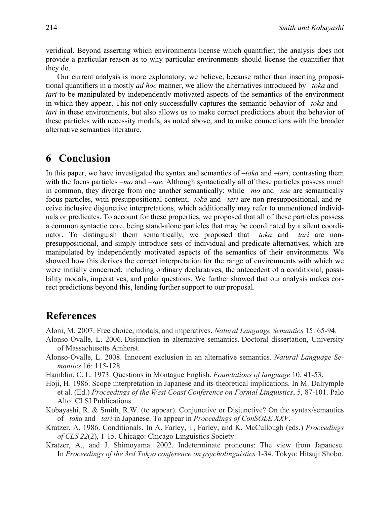veridical. Beyond asserting which environments license which quantifier, the analysis does not provide a particular reason as to why particular environments should license the quantifier that they do.

Our current analysis is more explanatory, we believe, because rather than inserting propositional quantifiers in a mostly *ad hoc* manner, we allow the alternatives introduced by *–toka* and *– tari* to be manipulated by independently motivated aspects of the semantics of the environment in which they appear. This not only successfully captures the semantic behavior of *–toka* and *– tari* in these environments, but also allows us to make correct predictions about the behavior of these particles with necessity modals, as noted above, and to make connections with the broader alternative semantics literature.

### **6** Conclusion

In this paper, we have investigated the syntax and semantics of *–toka* and *–tari*, contrasting them with the focus particles *–mo* and *–sae.* Although syntactically all of these particles possess much in common, they diverge from one another semantically: while *–mo* and *–sae* are semantically focus particles, with presuppositional content, *-toka* and *–tari* are non-presuppositional, and receive inclusive disjunctive interpretations, which additionally may refer to unmentioned individuals or predicates. To account for these properties, we proposed that all of these particles possess a common syntactic core, being stand-alone particles that may be coordinated by a silent coordinator. To distinguish them semantically, we proposed that *–toka* and *–tari* are nonpresuppositional, and simply introduce sets of individual and predicate alternatives, which are manipulated by independently motivated aspects of the semantics of their environments. We showed how this derives the correct interpretation for the range of environments with which we were initially concerned, including ordinary declaratives, the antecedent of a conditional, possibility modals, imperatives, and polar questions. We further showed that our analysis makes correct predictions beyond this, lending further support to our proposal.

#### **References**

Aloni, M. 2007. Free choice, modals, and imperatives. *Natural Language Semantics* 15: 65-94.

- Alonso-Ovalle, L. 2006. Disjunction in alternative semantics. Doctoral dissertation, University of Massachusetts Amherst.
- Alonso-Ovalle, L. 2008. Innocent exclusion in an alternative semantics. *Natural Language Semantics* 16: 115-128.
- Hamblin, C. L. 1973. Questions in Montague English. *Foundations of language* 10: 41-53.
- Hoji, H. 1986. Scope interpretation in Japanese and its theoretical implications. In M. Dalrymple et al. (Ed.) *Proceedings of the West Coast Conference on Formal Linguistics*, 5, 87-101. Palo Alto: CLSI Publications.
- Kobayashi, R. & Smith, R.W. (to appear). Conjunctive or Disjunctive? On the syntax/semantics of *–toka* and *–tari* in Japanese. To appear in *Proceedings of ConSOLE XXV*.
- Kratzer, A. 1986. Conditionals. In A. Farley, T, Farley, and K. McCullough (eds.) *Proceedings of CLS 22*(2), 1-15. Chicago: Chicago Linguistics Society.
- Kratzer, A., and J. Shimoyama. 2002. Indeterminate pronouns: The view from Japanese. In *Proceedings of the 3rd Tokyo conference on psycholinguistics* 1-34. Tokyo: Hitsuji Shobo.